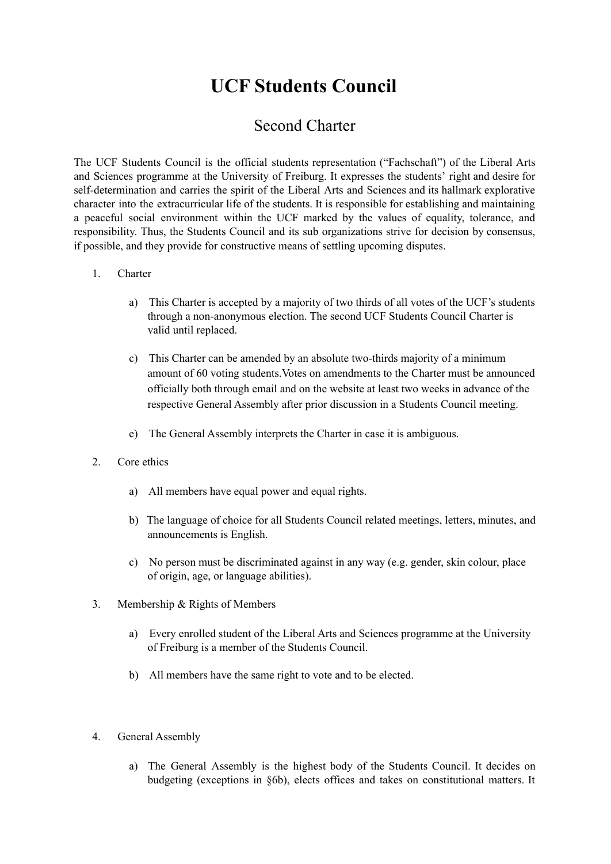# **UCF Students Council**

# Second Charter

The UCF Students Council is the official students representation ("Fachschaft") of the Liberal Arts and Sciences programme at the University of Freiburg. It expresses the students' right and desire for self-determination and carries the spirit of the Liberal Arts and Sciences and its hallmark explorative character into the extracurricular life of the students. It is responsible for establishing and maintaining a peaceful social environment within the UCF marked by the values of equality, tolerance, and responsibility. Thus, the Students Council and its sub organizations strive for decision by consensus, if possible, and they provide for constructive means of settling upcoming disputes.

# 1. Charter

- a) This Charter is accepted by a majority of two thirds of all votes of the UCF's students through a non-anonymous election. The second UCF Students Council Charter is valid until replaced.
- c) This Charter can be amended by an absolute two-thirds majority of a minimum amount of 60 voting students.Votes on amendments to the Charter must be announced officially both through email and on the website at least two weeks in advance of the respective General Assembly after prior discussion in a Students Council meeting.
- e) The General Assembly interprets the Charter in case it is ambiguous.
- 2. Core ethics
	- a) All members have equal power and equal rights.
	- b) The language of choice for all Students Council related meetings, letters, minutes, and announcements is English.
	- c) No person must be discriminated against in any way (e.g. gender, skin colour, place of origin, age, or language abilities).
- 3. Membership & Rights of Members
	- a) Every enrolled student of the Liberal Arts and Sciences programme at the University of Freiburg is a member of the Students Council.
	- b) All members have the same right to vote and to be elected.
- 4. General Assembly
	- a) The General Assembly is the highest body of the Students Council. It decides on budgeting (exceptions in §6b), elects offices and takes on constitutional matters. It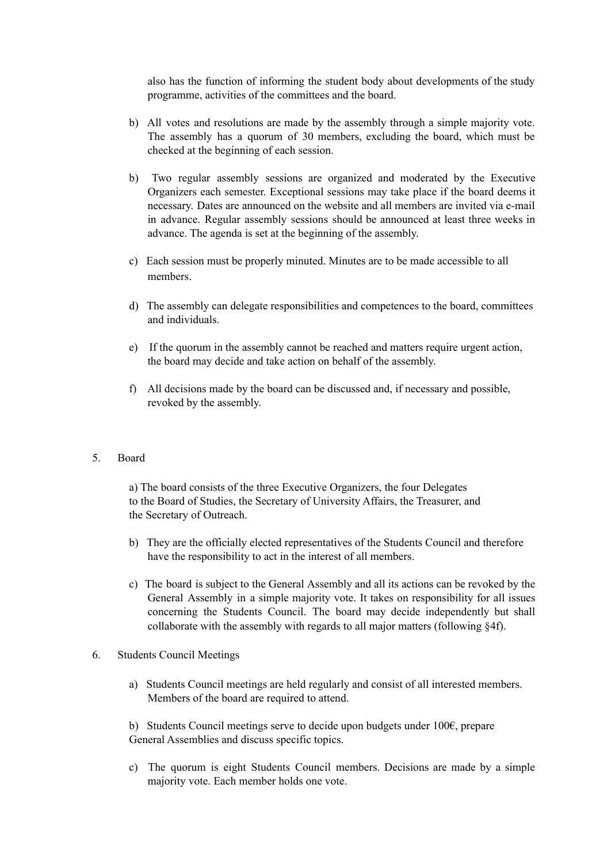also has the function of informing the student body about developments of the study programme, activities of the committees and the board.

- b) All votes and resolutions are made by the assembly through a simple majority vote. The assembly has a quorum of 30 members, excluding the board, which must be checked at the beginning of each session.
- b) Two regular assembly sessions are organized and moderated by the Executive Organizers each semester. Exceptional sessions may take place if the board deems it necessary. Dates are announced on the website and all members are invited via e-mail in advance. Regular assembly sessions should be announced at least three weeks in advance. The agenda is set at the beginning of the assembly.
- c) Each session must be properly minuted. Minutes are to be made accessible to all members.
- d) The assembly can delegate responsibilities and competences to the board, committees and individuals.
- e) If the quorum in the assembly cannot be reached and matters require urgent action, the board may decide and take action on behalf of the assembly.
- f) All decisions made by the board can be discussed and, if necessary and possible, revoked by the assembly.

#### 5. Board

a) The board consists of the three Executive Organizers, the four Delegates to the Board of Studies, the Secretary of University Affairs, the Treasurer, and the Secretary of Outreach.

- b) They are the officially elected representatives of the Students Council and therefore have the responsibility to act in the interest of all members.
- c) The board is subject to the General Assembly and all its actions can be revoked by the General Assembly in a simple majority vote. It takes on responsibility for all issues concerning the Students Council. The board may decide independently but shall collaborate with the assembly with regards to all major matters (following §4f).
- 6. Students Council Meetings
	- a) Students Council meetings are held regularly and consist of all interested members. Members of the board are required to attend.

b) Students Council meetings serve to decide upon budgets under 100€, prepare General Assemblies and discuss specific topics.

c) The quorum is eight Students Council members. Decisions are made by a simple majority vote. Each member holds one vote.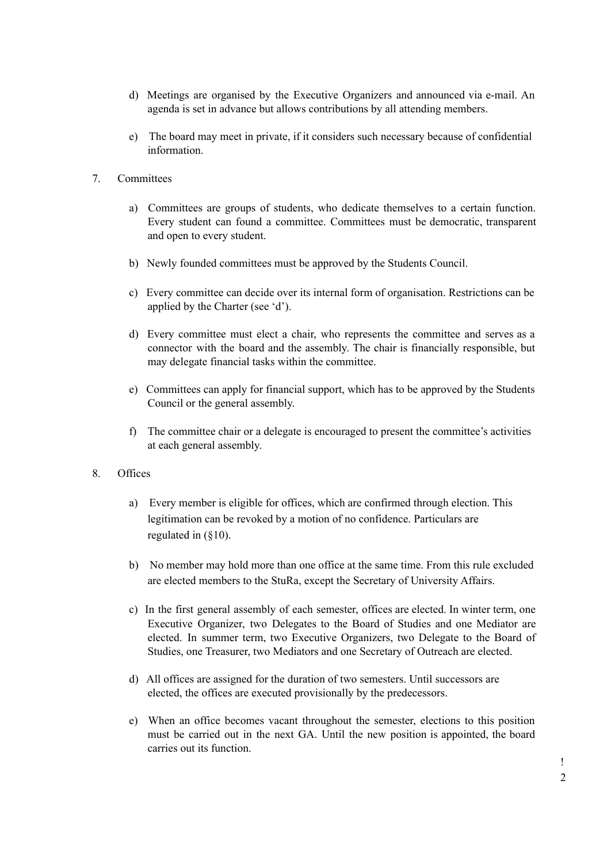- d) Meetings are organised by the Executive Organizers and announced via e-mail. An agenda is set in advance but allows contributions by all attending members.
- e) The board may meet in private, if it considers such necessary because of confidential information.
- 7. Committees
	- a) Committees are groups of students, who dedicate themselves to a certain function. Every student can found a committee. Committees must be democratic, transparent and open to every student.
	- b) Newly founded committees must be approved by the Students Council.
	- c) Every committee can decide over its internal form of organisation. Restrictions can be applied by the Charter (see 'd').
	- d) Every committee must elect a chair, who represents the committee and serves as a connector with the board and the assembly. The chair is financially responsible, but may delegate financial tasks within the committee.
	- e) Committees can apply for financial support, which has to be approved by the Students Council or the general assembly.
	- f) The committee chair or a delegate is encouraged to present the committee's activities at each general assembly.

### 8. Offices

- a) Every member is eligible for offices, which are confirmed through election. This legitimation can be revoked by a motion of no confidence. Particulars are regulated in (§10).
- b) No member may hold more than one office at the same time. From this rule excluded are elected members to the StuRa, except the Secretary of University Affairs.
- c) In the first general assembly of each semester, offices are elected. In winter term, one Executive Organizer, two Delegates to the Board of Studies and one Mediator are elected. In summer term, two Executive Organizers, two Delegate to the Board of Studies, one Treasurer, two Mediators and one Secretary of Outreach are elected.
- d) All offices are assigned for the duration of two semesters. Until successors are elected, the offices are executed provisionally by the predecessors.
- e) When an office becomes vacant throughout the semester, elections to this position must be carried out in the next GA. Until the new position is appointed, the board carries out its function.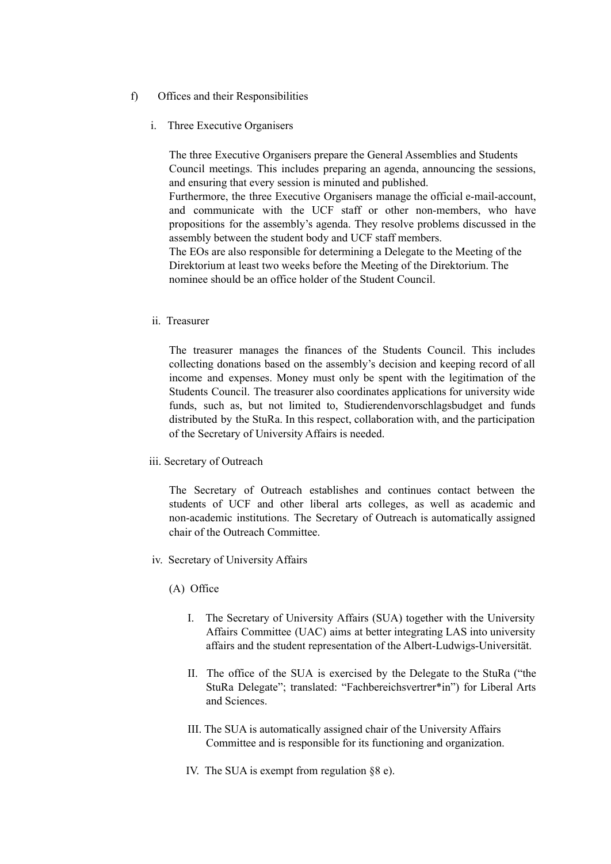- f) Offices and their Responsibilities
	- i. Three Executive Organisers

The three Executive Organisers prepare the General Assemblies and Students Council meetings. This includes preparing an agenda, announcing the sessions, and ensuring that every session is minuted and published.

Furthermore, the three Executive Organisers manage the official e-mail-account, and communicate with the UCF staff or other non-members, who have propositions for the assembly's agenda. They resolve problems discussed in the assembly between the student body and UCF staff members.

The EOs are also responsible for determining a Delegate to the Meeting of the Direktorium at least two weeks before the Meeting of the Direktorium. The nominee should be an office holder of the Student Council.

ii. Treasurer

The treasurer manages the finances of the Students Council. This includes collecting donations based on the assembly's decision and keeping record of all income and expenses. Money must only be spent with the legitimation of the Students Council. The treasurer also coordinates applications for university wide funds, such as, but not limited to, Studierendenvorschlagsbudget and funds distributed by the StuRa. In this respect, collaboration with, and the participation of the Secretary of University Affairs is needed.

iii. Secretary of Outreach

The Secretary of Outreach establishes and continues contact between the students of UCF and other liberal arts colleges, as well as academic and non-academic institutions. The Secretary of Outreach is automatically assigned chair of the Outreach Committee.

- iv. Secretary of University Affairs
	- (A) Office
		- I. The Secretary of University Affairs (SUA) together with the University Affairs Committee (UAC) aims at better integrating LAS into university affairs and the student representation of the Albert-Ludwigs-Universität.
		- II. The office of the SUA is exercised by the Delegate to the StuRa ("the StuRa Delegate"; translated: "Fachbereichsvertrer\*in") for Liberal Arts and Sciences.
		- III. The SUA is automatically assigned chair of the University Affairs Committee and is responsible for its functioning and organization.
		- IV. The SUA is exempt from regulation §8 e).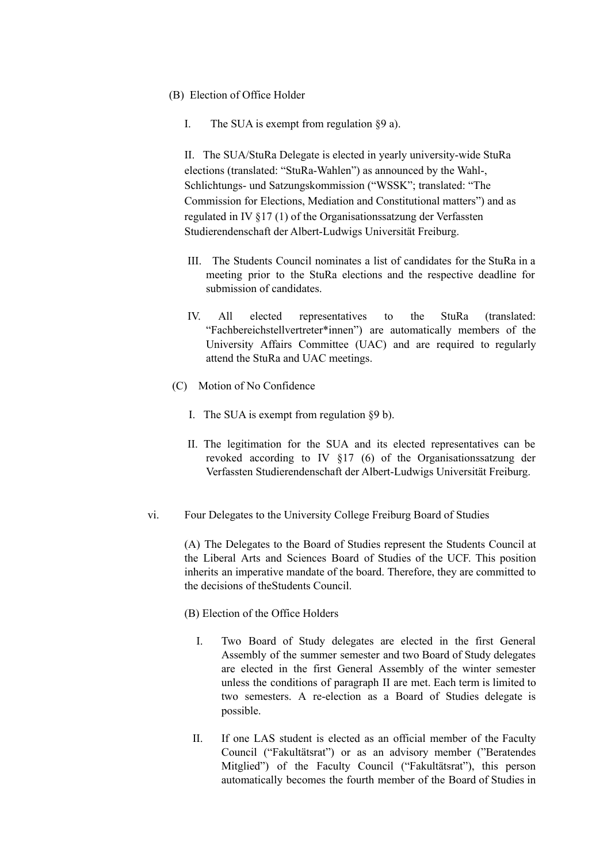- (B) Election of Office Holder
	- I. The SUA is exempt from regulation §9 a).

II. The SUA/StuRa Delegate is elected in yearly university-wide StuRa elections (translated: "StuRa-Wahlen") as announced by the Wahl-, Schlichtungs- und Satzungskommission ("WSSK"; translated: "The Commission for Elections, Mediation and Constitutional matters") and as regulated in IV §17 (1) of the Organisationssatzung der Verfassten Studierendenschaft der Albert-Ludwigs Universität Freiburg.

- III. The Students Council nominates a list of candidates for the StuRa in a meeting prior to the StuRa elections and the respective deadline for submission of candidates.
- IV. All elected representatives to the StuRa (translated: "Fachbereichstellvertreter\*innen") are automatically members of the University Affairs Committee (UAC) and are required to regularly attend the StuRa and UAC meetings.
- (C) Motion of No Confidence
	- I. The SUA is exempt from regulation §9 b).
	- II. The legitimation for the SUA and its elected representatives can be revoked according to IV §17 (6) of the Organisationssatzung der Verfassten Studierendenschaft der Albert-Ludwigs Universität Freiburg.
- vi. Four Delegates to the University College Freiburg Board of Studies

(A) The Delegates to the Board of Studies represent the Students Council at the Liberal Arts and Sciences Board of Studies of the UCF. This position inherits an imperative mandate of the board. Therefore, they are committed to the decisions of theStudents Council.

(B) Election of the Office Holders

- I. Two Board of Study delegates are elected in the first General Assembly of the summer semester and two Board of Study delegates are elected in the first General Assembly of the winter semester unless the conditions of paragraph II are met. Each term is limited to two semesters. A re-election as a Board of Studies delegate is possible.
- II. If one LAS student is elected as an official member of the Faculty Council ("Fakultätsrat") or as an advisory member ("Beratendes Mitglied") of the Faculty Council ("Fakultätsrat"), this person automatically becomes the fourth member of the Board of Studies in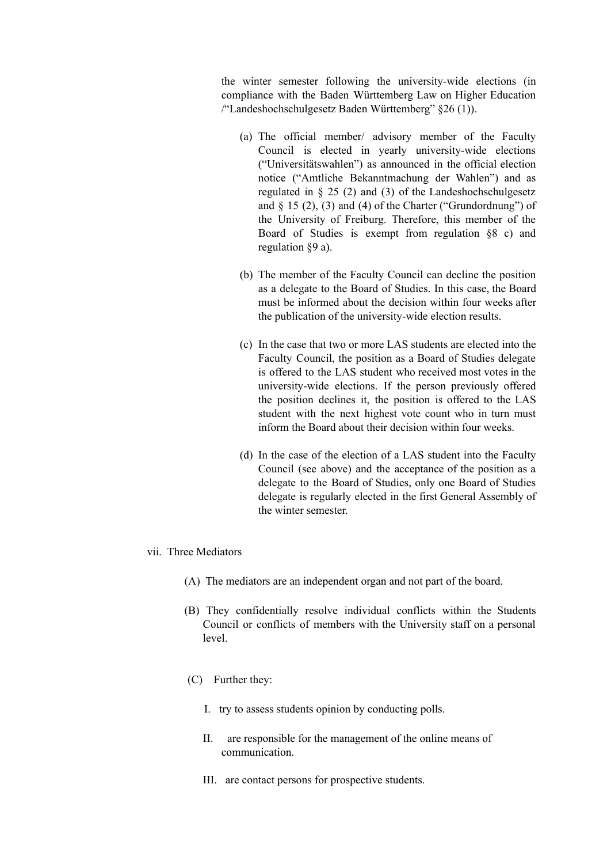the winter semester following the university-wide elections (in compliance with the Baden Württemberg Law on Higher Education /"Landeshochschulgesetz Baden Württemberg" §26 (1)).

- (a) The official member/ advisory member of the Faculty Council is elected in yearly university-wide elections ("Universitätswahlen") as announced in the official election notice ("Amtliche Bekanntmachung der Wahlen") and as regulated in § 25 (2) and (3) of the Landeshochschulgesetz and  $\S$  15 (2), (3) and (4) of the Charter ("Grundordnung") of the University of Freiburg. Therefore, this member of the Board of Studies is exempt from regulation §8 c) and regulation §9 a).
- (b) The member of the Faculty Council can decline the position as a delegate to the Board of Studies. In this case, the Board must be informed about the decision within four weeks after the publication of the university-wide election results.
- (c) In the case that two or more LAS students are elected into the Faculty Council, the position as a Board of Studies delegate is offered to the LAS student who received most votes in the university-wide elections. If the person previously offered the position declines it, the position is offered to the LAS student with the next highest vote count who in turn must inform the Board about their decision within four weeks.
- (d) In the case of the election of a LAS student into the Faculty Council (see above) and the acceptance of the position as a delegate to the Board of Studies, only one Board of Studies delegate is regularly elected in the first General Assembly of the winter semester.
- vii. Three Mediators
	- (A) The mediators are an independent organ and not part of the board.
	- (B) They confidentially resolve individual conflicts within the Students Council or conflicts of members with the University staff on a personal level.
	- (C) Further they:
		- I. try to assess students opinion by conducting polls.
		- II. are responsible for the management of the online means of communication.
		- III. are contact persons for prospective students.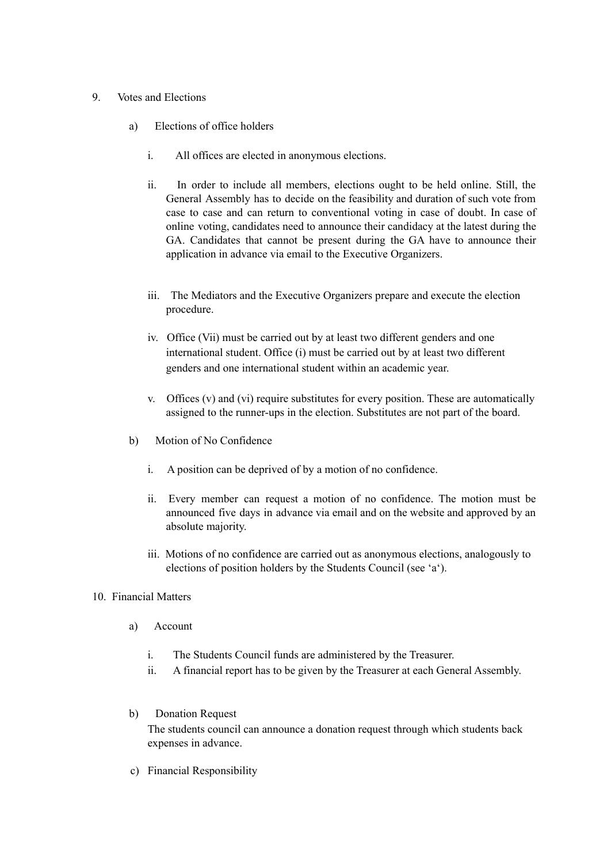# 9. Votes and Elections

- a) Elections of office holders
	- i. All offices are elected in anonymous elections.
	- ii. In order to include all members, elections ought to be held online. Still, the General Assembly has to decide on the feasibility and duration of such vote from case to case and can return to conventional voting in case of doubt. In case of online voting, candidates need to announce their candidacy at the latest during the GA. Candidates that cannot be present during the GA have to announce their application in advance via email to the Executive Organizers.
	- iii. The Mediators and the Executive Organizers prepare and execute the election procedure.
	- iv. Office (Vii) must be carried out by at least two different genders and one international student. Office (i) must be carried out by at least two different genders and one international student within an academic year.
	- v. Offices (v) and (vi) require substitutes for every position. These are automatically assigned to the runner-ups in the election. Substitutes are not part of the board.
- b) Motion of No Confidence
	- i. A position can be deprived of by a motion of no confidence.
	- ii. Every member can request a motion of no confidence. The motion must be announced five days in advance via email and on the website and approved by an absolute majority.
	- iii. Motions of no confidence are carried out as anonymous elections, analogously to elections of position holders by the Students Council (see 'a').
- 10. Financial Matters
	- a) Account
		- i. The Students Council funds are administered by the Treasurer.
		- ii. A financial report has to be given by the Treasurer at each General Assembly.
	- b) Donation Request The students council can announce a donation request through which students back expenses in advance.
	- c) Financial Responsibility